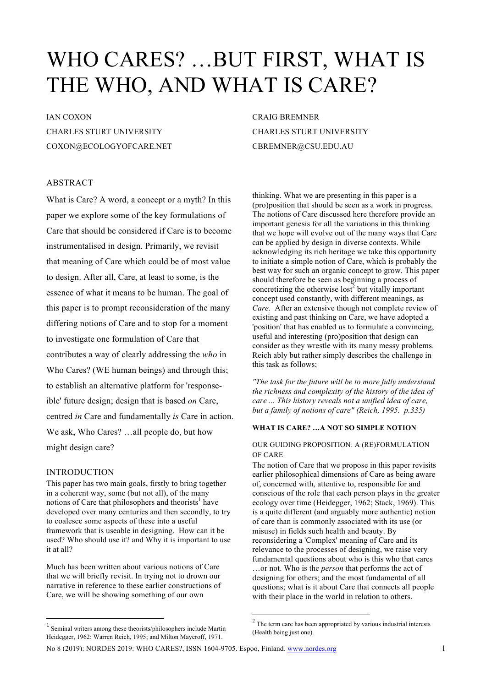# WHO CARES? …BUT FIRST, WHAT IS THE WHO, AND WHAT IS CARE?

# IAN COXON

CHARLES STURT UNIVERSITY COXON@ECOLOGYOFCARE.NET

## ABSTRACT

What is Care? A word, a concept or a myth? In this paper we explore some of the key formulations of Care that should be considered if Care is to become instrumentalised in design. Primarily, we revisit that meaning of Care which could be of most value to design. After all, Care, at least to some, is the essence of what it means to be human. The goal of this paper is to prompt reconsideration of the many differing notions of Care and to stop for a moment to investigate one formulation of Care that contributes a way of clearly addressing the *who* in Who Cares? (WE human beings) and through this; to establish an alternative platform for 'responseible' future design; design that is based *on* Care, centred *in* Care and fundamentally *is* Care in action. We ask, Who Cares? …all people do, but how might design care?

## INTRODUCTION

 $\overline{a}$ 

This paper has two main goals, firstly to bring together in a coherent way, some (but not all), of the many notions of Care that philosophers and theorists<sup>1</sup> have developed over many centuries and then secondly, to try to coalesce some aspects of these into a useful framework that is useable in designing. How can it be used? Who should use it? and Why it is important to use it at all?

Much has been written about various notions of Care that we will briefly revisit. In trying not to drown our narrative in reference to these earlier constructions of Care, we will be showing something of our own

CRAIG BREMNER CHARLES STURT UNIVERSITY CBREMNER@CSU.EDU.AU

thinking. What we are presenting in this paper is a (pro)position that should be seen as a work in progress. The notions of Care discussed here therefore provide an important genesis for all the variations in this thinking that we hope will evolve out of the many ways that Care can be applied by design in diverse contexts. While acknowledging its rich heritage we take this opportunity to initiate a simple notion of Care, which is probably the best way for such an organic concept to grow. This paper should therefore be seen as beginning a process of concretizing the otherwise lost<sup>2</sup> but vitally important concept used constantly, with different meanings, as *Care*. After an extensive though not complete review of existing and past thinking on Care, we have adopted a 'position' that has enabled us to formulate a convincing, useful and interesting (pro)position that design can consider as they wrestle with its many messy problems. Reich ably but rather simply describes the challenge in this task as follows;

*"The task for the future will be to more fully understand the richness and complexity of the history of the idea of care ... This history reveals not a unified idea of care, but a family of notions of care" (Reich, 1995. p.335)*

## **WHAT IS CARE? …A NOT SO SIMPLE NOTION**

## OUR GUIDING PROPOSITION: A (RE)FORMULATION OF CARE

The notion of Care that we propose in this paper revisits earlier philosophical dimensions of Care as being aware of, concerned with, attentive to, responsible for and conscious of the role that each person plays in the greater ecology over time (Heidegger, 1962; Stack, 1969). This is a quite different (and arguably more authentic) notion of care than is commonly associated with its use (or misuse) in fields such health and beauty. By reconsidering a 'Complex' meaning of Care and its relevance to the processes of designing, we raise very fundamental questions about who is this who that cares …or not. Who is the *person* that performs the act of designing for others; and the most fundamental of all questions; what is it about Care that connects all people with their place in the world in relation to others.

<sup>1</sup> Seminal writers among these theorists/philosophers include Martin Heidegger, 1962: Warren Reich, 1995; and Milton Mayeroff, 1971.

 <sup>2</sup> The term care has been appropriated by various industrial interests (Health being just one).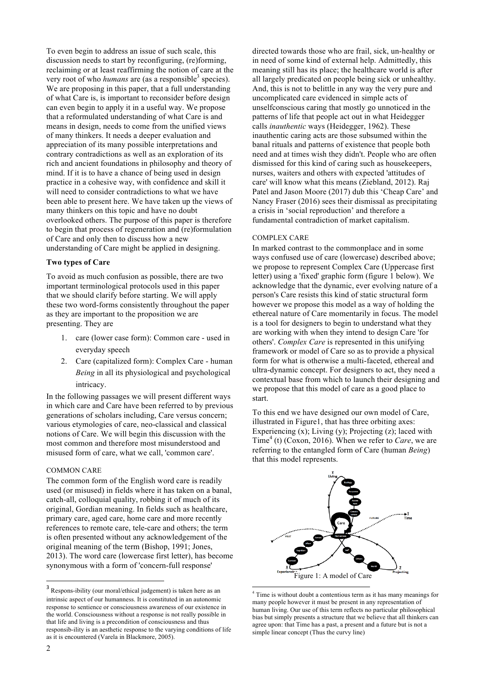To even begin to address an issue of such scale, this discussion needs to start by reconfiguring, (re)forming, reclaiming or at least reaffirming the notion of care at the very root of who *humans* are (as a responsible<sup>3</sup> species). We are proposing in this paper, that a full understanding of what Care is, is important to reconsider before design can even begin to apply it in a useful way. We propose that a reformulated understanding of what Care is and means in design, needs to come from the unified views of many thinkers. It needs a deeper evaluation and appreciation of its many possible interpretations and contrary contradictions as well as an exploration of its rich and ancient foundations in philosophy and theory of mind. If it is to have a chance of being used in design practice in a cohesive way, with confidence and skill it will need to consider contradictions to what we have been able to present here. We have taken up the views of many thinkers on this topic and have no doubt overlooked others. The purpose of this paper is therefore to begin that process of regeneration and (re)formulation of Care and only then to discuss how a new understanding of Care might be applied in designing.

## **Two types of Care**

To avoid as much confusion as possible, there are two important terminological protocols used in this paper that we should clarify before starting. We will apply these two word-forms consistently throughout the paper as they are important to the proposition we are presenting. They are

- 1. care (lower case form): Common care used in everyday speech
- 2. Care (capitalized form): Complex Care human *Being* in all its physiological and psychological intricacy.

In the following passages we will present different ways in which care and Care have been referred to by previous generations of scholars including, Care versus concern; various etymologies of care, neo-classical and classical notions of Care. We will begin this discussion with the most common and therefore most misunderstood and misused form of care, what we call, 'common care'.

#### COMMON CARE

The common form of the English word care is readily used (or misused) in fields where it has taken on a banal, catch-all, colloquial quality, robbing it of much of its original, Gordian meaning. In fields such as healthcare, primary care, aged care, home care and more recently references to remote care, tele-care and others; the term is often presented without any acknowledgement of the original meaning of the term (Bishop, 1991; Jones, 2013). The word care (lowercase first letter), has become synonymous with a form of 'concern-full response'

directed towards those who are frail, sick, un-healthy or in need of some kind of external help. Admittedly, this meaning still has its place; the healthcare world is after all largely predicated on people being sick or unhealthy. And, this is not to belittle in any way the very pure and uncomplicated care evidenced in simple acts of unselfconscious caring that mostly go unnoticed in the patterns of life that people act out in what Heidegger calls *inauthentic* ways (Heidegger, 1962). These inauthentic caring acts are those subsumed within the banal rituals and patterns of existence that people both need and at times wish they didn't. People who are often dismissed for this kind of caring such as housekeepers, nurses, waiters and others with expected 'attitudes of care' will know what this means (Ziebland, 2012). Raj Patel and Jason Moore (2017) dub this 'Cheap Care' and Nancy Fraser (2016) sees their dismissal as precipitating a crisis in 'social reproduction' and therefore a fundamental contradiction of market capitalism.

#### COMPLEX CARE

In marked contrast to the commonplace and in some ways confused use of care (lowercase) described above; we propose to represent Complex Care (Uppercase first letter) using a 'fixed' graphic form (figure 1 below). We acknowledge that the dynamic, ever evolving nature of a person's Care resists this kind of static structural form however we propose this model as a way of holding the ethereal nature of Care momentarily in focus. The model is a tool for designers to begin to understand what they are working with when they intend to design Care 'for others'. *Complex Care* is represented in this unifying framework or model of Care so as to provide a physical form for what is otherwise a multi-faceted, ethereal and ultra-dynamic concept. For designers to act, they need a contextual base from which to launch their designing and we propose that this model of care as a good place to start.

To this end we have designed our own model of Care, illustrated in Figure1, that has three orbiting axes: Experiencing  $(x)$ ; Living  $(y)$ ; Projecting  $(z)$ ; laced with Time<sup>4</sup> (t) (Coxon, 2016). When we refer to *Care*, we are referring to the entangled form of Care (human *Being*) that this model represents.



 <sup>4</sup> Time is without doubt a contentious term as it has many meanings for many people however it must be present in any representation of human living. Our use of this term reflects no particular philosophical bias but simply presents a structure that we believe that all thinkers can agree upon: that Time has a past, a present and a future but is not a simple linear concept (Thus the curvy line)

 $\overline{a}$ 

<sup>3</sup> Respons-ibility (our moral/ethical judgement) is taken here as an intrinsic aspect of our humanness. It is constituted in an autonomic response to sentience or consciousness awareness of our existence in the world. Consciousness without a response is not really possible in that life and living is a precondition of consciousness and thus responsib-ility is an aesthetic response to the varying conditions of life as it is encountered (Varela in Blackmore, 2005).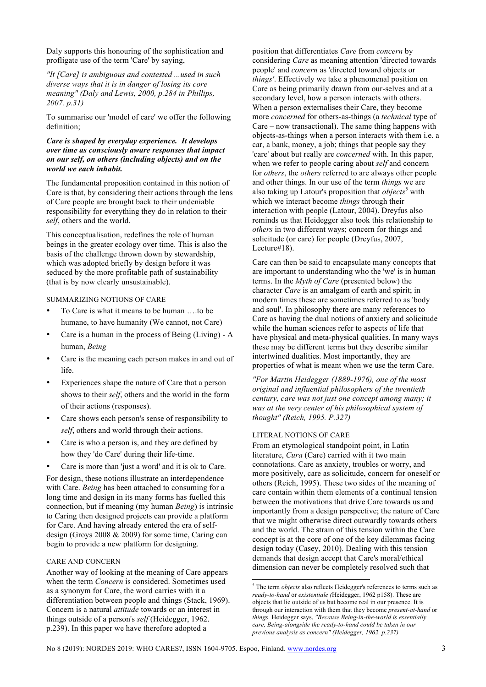Daly supports this honouring of the sophistication and profligate use of the term 'Care' by saying,

*"It [Care] is ambiguous and contested ...used in such diverse ways that it is in danger of losing its core meaning" (Daly and Lewis, 2000, p.284 in Phillips, 2007. p.31)*

To summarise our 'model of care' we offer the following definition;

## *Care is shaped by everyday experience. It develops over time as consciously aware responses that impact on our self, on others (including objects) and on the world we each inhabit.*

The fundamental proposition contained in this notion of Care is that, by considering their actions through the lens of Care people are brought back to their undeniable responsibility for everything they do in relation to their *self*, others and the world.

This conceptualisation, redefines the role of human beings in the greater ecology over time. This is also the basis of the challenge thrown down by stewardship, which was adopted briefly by design before it was seduced by the more profitable path of sustainability (that is by now clearly unsustainable).

## SUMMARIZING NOTIONS OF CARE

- To Care is what it means to be human ….to be humane, to have humanity (We cannot, not Care)
- Care is a human in the process of Being (Living) A human, *Being*
- Care is the meaning each person makes in and out of life.
- Experiences shape the nature of Care that a person shows to their *self*, others and the world in the form of their actions (responses).
- Care shows each person's sense of responsibility to *self*, others and world through their actions.
- Care is who a person is, and they are defined by how they 'do Care' during their life-time.
- Care is more than 'just a word' and it is ok to Care.

For design, these notions illustrate an interdependence with Care. *Being* has been attached to consuming for a long time and design in its many forms has fuelled this connection, but if meaning (my human *Being*) is intrinsic to Caring then designed projects can provide a platform for Care. And having already entered the era of selfdesign (Groys 2008 & 2009) for some time, Caring can begin to provide a new platform for designing.

## CARE AND CONCERN

Another way of looking at the meaning of Care appears when the term *Concern* is considered. Sometimes used as a synonym for Care, the word carries with it a differentiation between people and things (Stack, 1969). Concern is a natural *attitude* towards or an interest in things outside of a person's *self* (Heidegger, 1962. p.239). In this paper we have therefore adopted a

position that differentiates *Care* from *concern* by considering *Care* as meaning attention 'directed towards people' and *concern* as 'directed toward objects or *things'*. Effectively we take a phenomenal position on Care as being primarily drawn from our-selves and at a secondary level, how a person interacts with others. When a person externalises their Care, they become more *concerned* for others-as-things (a *technical* type of Care – now transactional). The same thing happens with objects-as-things when a person interacts with them i.e. a car, a bank, money, a job; things that people say they 'care' about but really are *concerned* with. In this paper, when we refer to people caring about *self* and concern for *others*, the *others* referred to are always other people and other things. In our use of the term *things* we are also taking up Latour's proposition that *objects*<sup>5</sup> with which we interact become *things* through their interaction with people (Latour, 2004). Dreyfus also reminds us that Heidegger also took this relationship to *others* in two different ways; concern for things and solicitude (or care) for people (Dreyfus, 2007, Lecture#18).

Care can then be said to encapsulate many concepts that are important to understanding who the 'we' is in human terms. In the *Myth of Care* (presented below) the character *Care* is an amalgam of earth and spirit; in modern times these are sometimes referred to as 'body and soul'. In philosophy there are many references to Care as having the dual notions of anxiety and solicitude while the human sciences refer to aspects of life that have physical and meta-physical qualities. In many ways these may be different terms but they describe similar intertwined dualities. Most importantly, they are properties of what is meant when we use the term Care.

*"For Martin Heidegger (1889-1976), one of the most original and influential philosophers of the twentieth century, care was not just one concept among many; it was at the very center of his philosophical system of thought" (Reich, 1995. P.327)*

#### LITERAL NOTIONS OF CARE

From an etymological standpoint point, in Latin literature, *Cura* (Care) carried with it two main connotations. Care as anxiety, troubles or worry, and more positively, care as solicitude, concern for oneself or others (Reich, 1995). These two sides of the meaning of care contain within them elements of a continual tension between the motivations that drive Care towards us and importantly from a design perspective; the nature of Care that we might otherwise direct outwardly towards others and the world. The strain of this tension within the Care concept is at the core of one of the key dilemmas facing design today (Casey, 2010). Dealing with this tension demands that design accept that Care's moral/ethical dimension can never be completely resolved such that

 <sup>5</sup> The term *objects* also reflects Heidegger's references to terms such as *ready-to-hand* or *existentiale (*Heidegger, 1962 p158). These are objects that lie outside of us but become real in our presence. It is through our interaction with them that they become *present-at-hand* or *things.* Heidegger says, *"Because Being-in-the-world is essentially care, Being-alongside the ready-to-hand could be taken in our previous analysis as concern" (Heidegger, 1962. p.237)*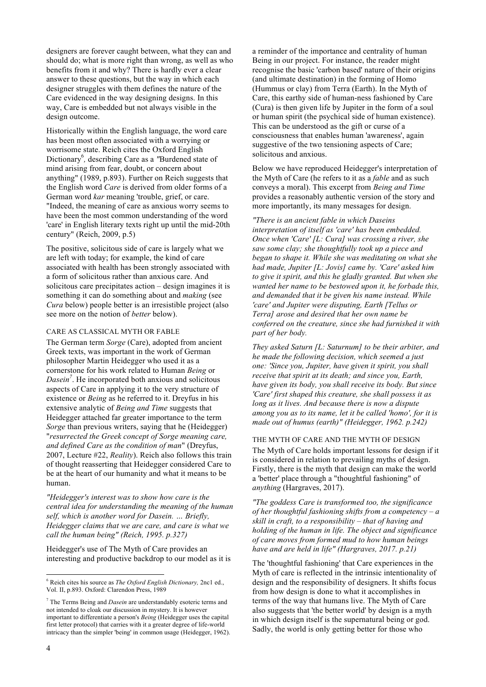designers are forever caught between, what they can and should do; what is more right than wrong, as well as who benefits from it and why? There is hardly ever a clear answer to these questions, but the way in which each designer struggles with them defines the nature of the Care evidenced in the way designing designs. In this way, Care is embedded but not always visible in the design outcome.

Historically within the English language, the word care has been most often associated with a worrying or worrisome state. Reich cites the Oxford English Dictionary<sup>6</sup>, describing Care as a "Burdened state of mind arising from fear, doubt, or concern about anything" (1989, p.893). Further on Reich suggests that the English word *Care* is derived from older forms of a German word *kar* meaning 'trouble, grief, or care. "Indeed, the meaning of care as anxious worry seems to have been the most common understanding of the word 'care' in English literary texts right up until the mid-20th century" (Reich, 2009, p.5)

The positive, solicitous side of care is largely what we are left with today; for example, the kind of care associated with health has been strongly associated with a form of solicitous rather than anxious care. And solicitous care precipitates action – design imagines it is something it can do something about and *making* (see *Cura* below) people better is an irresistible project (also see more on the notion of *better* below).

#### CARE AS CLASSICAL MYTH OR FABLE

The German term *Sorge* (Care), adopted from ancient Greek texts, was important in the work of German philosopher Martin Heidegger who used it as a cornerstone for his work related to Human *Being* or *Dasein<sup>7</sup>* . He incorporated both anxious and solicitous aspects of Care in applying it to the very structure of existence or *Being* as he referred to it. Dreyfus in his extensive analytic of *Being and Time* suggests that Heidegger attached far greater importance to the term *Sorge* than previous writers, saying that he (Heidegger) "*resurrected the Greek concept of Sorge meaning care, and defined Care as the condition of man*" (Dreyfus, 2007, Lecture #22, *Reality*). Reich also follows this train of thought reasserting that Heidegger considered Care to be at the heart of our humanity and what it means to be human.

*"Heidegger's interest was to show how care is the central idea for understanding the meaning of the human self, which is another word for Dasein. … Briefly, Heidegger claims that we are care, and care is what we call the human being" (Reich, 1995. p.327)*

Heidegger's use of The Myth of Care provides an interesting and productive backdrop to our model as it is a reminder of the importance and centrality of human Being in our project. For instance, the reader might recognise the basic 'carbon based' nature of their origins (and ultimate destination) in the forming of Homo (Hummus or clay) from Terra (Earth). In the Myth of Care, this earthy side of human-ness fashioned by Care (Cura) is then given life by Jupiter in the form of a soul or human spirit (the psychical side of human existence). This can be understood as the gift or curse of a consciousness that enables human 'awareness', again suggestive of the two tensioning aspects of Care; solicitous and anxious.

Below we have reproduced Heidegger's interpretation of the Myth of Care (he refers to it as a *fable* and as such conveys a moral). This excerpt from *Being and Time* provides a reasonably authentic version of the story and more importantly, its many messages for design.

*"There is an ancient fable in which Daseins interpretation of itself as 'care' has been embedded. Once when 'Care' [L: Cura] was crossing a river, she saw some clay; she thoughtfully took up a piece and began to shape it. While she was meditating on what she had made, Jupiter [L: Jovis] came by. 'Care' asked him to give it spirit, and this he gladly granted. But when she wanted her name to be bestowed upon it, he forbade this, and demanded that it be given his name instead. While 'care' and Jupiter were disputing, Earth [Tellus or Terra] arose and desired that her own name be conferred on the creature, since she had furnished it with part of her body.* 

*They asked Saturn [L: Saturnum] to be their arbiter, and he made the following decision, which seemed a just one: 'Since you, Jupiter, have given it spirit, you shall receive that spirit at its death; and since you, Earth, have given its body, you shall receive its body. But since 'Care' first shaped this creature, she shall possess it as long as it lives. And because there is now a dispute among you as to its name, let it be called 'homo', for it is made out of humus (earth)" (Heidegger, 1962. p.242)*

## THE MYTH OF CARE AND THE MYTH OF DESIGN

The Myth of Care holds important lessons for design if it is considered in relation to prevailing myths of design. Firstly, there is the myth that design can make the world a 'better' place through a "thoughtful fashioning" of *anything* (Hargraves, 2017).

*"The goddess Care is transformed too, the significance of her thoughtful fashioning shifts from a competency – a skill in craft, to a responsibility – that of having and holding of the human in life. The object and significance of care moves from formed mud to how human beings have and are held in life" (Hargraves, 2017. p.21)*

The 'thoughtful fashioning' that Care experiences in the Myth of care is reflected in the intrinsic intentionality of design and the responsibility of designers. It shifts focus from how design is done to what it accomplishes in terms of the way that humans live. The Myth of Care also suggests that 'the better world' by design is a myth in which design itself is the supernatural being or god. Sadly, the world is only getting better for those who

 <sup>6</sup> Reich cites his source as *The Oxford English Dictionary,* 2nc1 ed., Vol. II, p.893. Oxford: Clarendon Press, 1989

<sup>7</sup> The Terms Being and *Dasein* are understandably esoteric terms and not intended to cloak our discussion in mystery. It is however important to differentiate a person's *Being* (Heidegger uses the capital first letter protocol) that carries with it a greater degree of life-world intricacy than the simpler 'being' in common usage (Heidegger, 1962).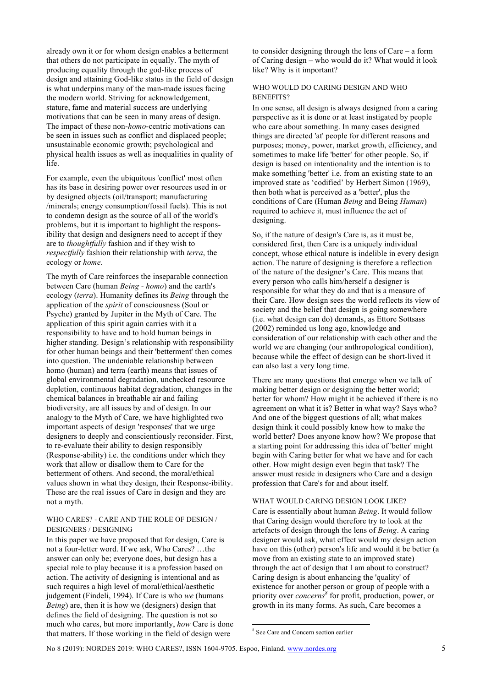already own it or for whom design enables a betterment that others do not participate in equally. The myth of producing equality through the god-like process of design and attaining God-like status in the field of design is what underpins many of the man-made issues facing the modern world. Striving for acknowledgement, stature, fame and material success are underlying motivations that can be seen in many areas of design. The impact of these non-*homo*-centric motivations can be seen in issues such as conflict and displaced people; unsustainable economic growth; psychological and physical health issues as well as inequalities in quality of life.

For example, even the ubiquitous 'conflict' most often has its base in desiring power over resources used in or by designed objects (oil/transport; manufacturing /minerals; energy consumption/fossil fuels). This is not to condemn design as the source of all of the world's problems, but it is important to highlight the responsibility that design and designers need to accept if they are to *thoughtfully* fashion and if they wish to *respectfully* fashion their relationship with *terra*, the ecology or *home*.

The myth of Care reinforces the inseparable connection between Care (human *Being - homo*) and the earth's ecology (*terra*). Humanity defines its *Being* through the application of the *spirit* of consciousness (Soul or Psyche) granted by Jupiter in the Myth of Care. The application of this spirit again carries with it a responsibility to have and to hold human beings in higher standing. Design's relationship with responsibility for other human beings and their 'betterment' then comes into question. The undeniable relationship between homo (human) and terra (earth) means that issues of global environmental degradation, unchecked resource depletion, continuous habitat degradation, changes in the chemical balances in breathable air and failing biodiversity, are all issues by and of design. In our analogy to the Myth of Care, we have highlighted two important aspects of design 'responses' that we urge designers to deeply and conscientiously reconsider. First, to re-evaluate their ability to design responsibly (Response-ability) i.e. the conditions under which they work that allow or disallow them to Care for the betterment of others. And second, the moral/ethical values shown in what they design, their Response-ibility. These are the real issues of Care in design and they are not a myth.

### WHO CARES? - CARE AND THE ROLE OF DESIGN / DESIGNERS / DESIGNING

In this paper we have proposed that for design, Care is not a four-letter word. If we ask, Who Cares? …the answer can only be; everyone does, but design has a special role to play because it is a profession based on action. The activity of designing is intentional and as such requires a high level of moral/ethical/aesthetic judgement (Findeli, 1994). If Care is who *we* (humans *Being*) are, then it is how we (designers) design that defines the field of designing. The question is not so much who cares, but more importantly, *how* Care is done that matters. If those working in the field of design were

to consider designing through the lens of Care – a form of Caring design – who would do it? What would it look like? Why is it important?

## WHO WOULD DO CARING DESIGN AND WHO BENEFITS?

In one sense, all design is always designed from a caring perspective as it is done or at least instigated by people who care about something. In many cases designed things are directed 'at' people for different reasons and purposes; money, power, market growth, efficiency, and sometimes to make life 'better' for other people. So, if design is based on intentionality and the intention is to make something 'better' i.e. from an existing state to an improved state as 'codified' by Herbert Simon (1969), then both what is perceived as a 'better', plus the conditions of Care (Human *Being* and Being *Human*) required to achieve it, must influence the act of designing.

So, if the nature of design's Care is, as it must be, considered first, then Care is a uniquely individual concept, whose ethical nature is indelible in every design action. The nature of designing is therefore a reflection of the nature of the designer's Care. This means that every person who calls him/herself a designer is responsible for what they do and that is a measure of their Care. How design sees the world reflects its view of society and the belief that design is going somewhere (i.e. what design can do) demands, as Ettore Sottsass (2002) reminded us long ago, knowledge and consideration of our relationship with each other and the world we are changing (our anthropological condition), because while the effect of design can be short-lived it can also last a very long time.

There are many questions that emerge when we talk of making better design or designing the better world; better for whom? How might it be achieved if there is no agreement on what it is? Better in what way? Says who? And one of the biggest questions of all; what makes design think it could possibly know how to make the world better? Does anyone know how? We propose that a starting point for addressing this idea of 'better' might begin with Caring better for what we have and for each other. How might design even begin that task? The answer must reside in designers who Care and a design profession that Care's for and about itself.

#### WHAT WOULD CARING DESIGN LOOK LIKE?

Care is essentially about human *Being*. It would follow that Caring design would therefore try to look at the artefacts of design through the lens of *Being*. A caring designer would ask, what effect would my design action have on this (other) person's life and would it be better (a move from an existing state to an improved state) through the act of design that I am about to construct? Caring design is about enhancing the 'quality' of existence for another person or group of people with a priority over *concerns<sup>8</sup>* for profit, production, power, or growth in its many forms. As such, Care becomes a

 <sup>8</sup> See Care and Concern section earlier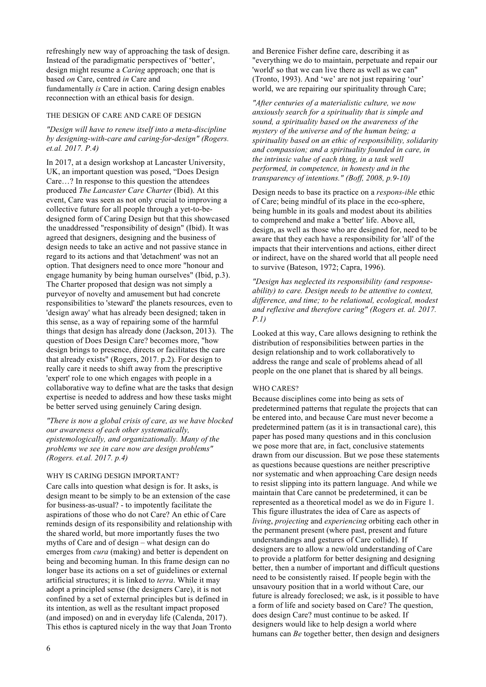refreshingly new way of approaching the task of design. Instead of the paradigmatic perspectives of 'better', design might resume a *Caring* approach; one that is based *on* Care, centred *in* Care and fundamentally *is* Care in action. Caring design enables reconnection with an ethical basis for design.

#### THE DESIGN OF CARE AND CARE OF DESIGN

## *"Design will have to renew itself into a meta-discipline by designing-with-care and caring-for-design" (Rogers. et.al. 2017. P.4)*

In 2017, at a design workshop at Lancaster University, UK, an important question was posed, "Does Design Care…? In response to this question the attendees produced *The Lancaster Care Charter* (Ibid). At this event, Care was seen as not only crucial to improving a collective future for all people through a yet-to-bedesigned form of Caring Design but that this showcased the unaddressed "responsibility of design" (Ibid). It was agreed that designers, designing and the business of design needs to take an active and not passive stance in regard to its actions and that 'detachment' was not an option. That designers need to once more "honour and engage humanity by being human ourselves" (Ibid, p.3). The Charter proposed that design was not simply a purveyor of novelty and amusement but had concrete responsibilities to 'steward' the planets resources, even to 'design away' what has already been designed; taken in this sense, as a way of repairing some of the harmful things that design has already done (Jackson, 2013). The question of Does Design Care? becomes more, "how design brings to presence, directs or facilitates the care that already exists" (Rogers, 2017. p.2). For design to really care it needs to shift away from the prescriptive 'expert' role to one which engages with people in a collaborative way to define what are the tasks that design expertise is needed to address and how these tasks might be better served using genuinely Caring design.

*"There is now a global crisis of care, as we have blocked our awareness of each other systematically, epistemologically, and organizationally. Many of the problems we see in care now are design problems" (Rogers. et.al. 2017. p.4)*

#### WHY IS CARING DESIGN IMPORTANT?

Care calls into question what design is for. It asks, is design meant to be simply to be an extension of the case for business-as-usual? - to impotently facilitate the aspirations of those who do not Care? An ethic of Care reminds design of its responsibility and relationship with the shared world, but more importantly fuses the two myths of Care and of design – what design can do emerges from *cura* (making) and better is dependent on being and becoming human. In this frame design can no longer base its actions on a set of guidelines or external artificial structures; it is linked to *terra*. While it may adopt a principled sense (the designers Care), it is not confined by a set of external principles but is defined in its intention, as well as the resultant impact proposed (and imposed) on and in everyday life (Calenda, 2017). This ethos is captured nicely in the way that Joan Tronto and Berenice Fisher define care, describing it as "everything we do to maintain, perpetuate and repair our 'world' so that we can live there as well as we can" (Tronto, 1993). And 'we' are not just repairing 'our' world, we are repairing our spirituality through Care;

*"After centuries of a materialistic culture, we now anxiously search for a spirituality that is simple and sound, a spirituality based on the awareness of the mystery of the universe and of the human being; a spirituality based on an ethic of responsibility, solidarity and compassion; and a spirituality founded in care, in the intrinsic value of each thing, in a task well performed, in competence, in honesty and in the transparency of intentions." (Boff, 2008, p.9-10)*

Design needs to base its practice on a *respons-ible* ethic of Care; being mindful of its place in the eco-sphere, being humble in its goals and modest about its abilities to comprehend and make a 'better' life. Above all, design, as well as those who are designed for, need to be aware that they each have a responsibility for 'all' of the impacts that their interventions and actions, either direct or indirect, have on the shared world that all people need to survive (Bateson, 1972; Capra, 1996).

*"Design has neglected its responsibility (and responseability) to care. Design needs to be attentive to context, difference, and time; to be relational, ecological, modest and reflexive and therefore caring" (Rogers et. al. 2017. P.1)* 

Looked at this way, Care allows designing to rethink the distribution of responsibilities between parties in the design relationship and to work collaboratively to address the range and scale of problems ahead of all people on the one planet that is shared by all beings.

#### WHO CARES?

Because disciplines come into being as sets of predetermined patterns that regulate the projects that can be entered into, and because Care must never become a predetermined pattern (as it is in transactional care), this paper has posed many questions and in this conclusion we pose more that are, in fact, conclusive statements drawn from our discussion. But we pose these statements as questions because questions are neither prescriptive nor systematic and when approaching Care design needs to resist slipping into its pattern language. And while we maintain that Care cannot be predetermined, it can be represented as a theoretical model as we do in Figure 1. This figure illustrates the idea of Care as aspects of *living*, *projecting* and *experiencing* orbiting each other in the permanent present (where past, present and future understandings and gestures of Care collide). If designers are to allow a new/old understanding of Care to provide a platform for better designing and designing better, then a number of important and difficult questions need to be consistently raised. If people begin with the unsavoury position that in a world without Care, our future is already foreclosed; we ask, is it possible to have a form of life and society based on Care? The question, does design Care? must continue to be asked. If designers would like to help design a world where humans can *Be* together better, then design and designers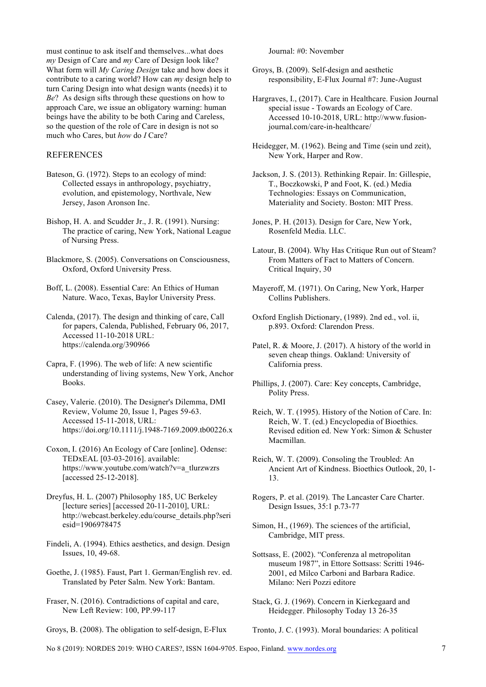must continue to ask itself and themselves...what does *my* Design of Care and *my* Care of Design look like? What form will *My Caring Design* take and how does it contribute to a caring world? How can *my* design help to turn Caring Design into what design wants (needs) it to *Be*? As design sifts through these questions on how to approach Care, we issue an obligatory warning: human beings have the ability to be both Caring and Careless, so the question of the role of Care in design is not so much who Cares, but *how* do *I* Care?

## REFERENCES

- Bateson, G. (1972). Steps to an ecology of mind: Collected essays in anthropology, psychiatry, evolution, and epistemology, Northvale, New Jersey, Jason Aronson Inc.
- Bishop, H. A. and Scudder Jr., J. R. (1991). Nursing: The practice of caring, New York, National League of Nursing Press.
- Blackmore, S. (2005). Conversations on Consciousness, Oxford, Oxford University Press.
- Boff, L. (2008). Essential Care: An Ethics of Human Nature. Waco, Texas, Baylor University Press.
- Calenda, (2017). The design and thinking of care, Call for papers, Calenda, Published, February 06, 2017, Accessed 11-10-2018 URL: https://calenda.org/390966
- Capra, F. (1996). The web of life: A new scientific understanding of living systems, New York, Anchor Books.
- Casey, Valerie. (2010). The Designer's Dilemma, DMI Review, Volume 20, Issue 1, Pages 59-63. Accessed 15-11-2018, URL: https://doi.org/10.1111/j.1948-7169.2009.tb00226.x
- Coxon, I. (2016) An Ecology of Care [online]. Odense: TEDxEAL [03-03-2016]. available: https://www.youtube.com/watch?v=a\_tlurzwzrs [accessed 25-12-2018].
- Dreyfus, H. L. (2007) Philosophy 185, UC Berkeley [lecture series] [accessed 20-11-2010], URL: http://webcast.berkeley.edu/course\_details.php?seri esid=1906978475
- Findeli, A. (1994). Ethics aesthetics, and design. Design Issues, 10, 49-68.
- Goethe, J. (1985). Faust, Part 1. German/English rev. ed. Translated by Peter Salm. New York: Bantam.
- Fraser, N. (2016). Contradictions of capital and care, New Left Review: 100, PP.99-117
- Groys, B. (2008). The obligation to self-design, E-Flux

Journal: #0: November

- Groys, B. (2009). Self-design and aesthetic responsibility, E-Flux Journal #7: June-August
- Hargraves, I., (2017). Care in Healthcare. Fusion Journal special issue - Towards an Ecology of Care. Accessed 10-10-2018, URL: http://www.fusionjournal.com/care-in-healthcare/
- Heidegger, M. (1962). Being and Time (sein und zeit), New York, Harper and Row.
- Jackson, J. S. (2013). Rethinking Repair. In: Gillespie, T., Boczkowski, P and Foot, K. (ed.) Media Technologies: Essays on Communication, Materiality and Society. Boston: MIT Press.
- Jones, P. H. (2013). Design for Care, New York, Rosenfeld Media. LLC.
- Latour, B. (2004). Why Has Critique Run out of Steam? From Matters of Fact to Matters of Concern. Critical Inquiry, 30
- Mayeroff, M. (1971). On Caring, New York, Harper Collins Publishers.
- Oxford English Dictionary, (1989). 2nd ed., vol. ii, p.893. Oxford: Clarendon Press.
- Patel, R. & Moore, J. (2017). A history of the world in seven cheap things. Oakland: University of California press.
- Phillips, J. (2007). Care: Key concepts, Cambridge, Polity Press.
- Reich, W. T. (1995). History of the Notion of Care. In: Reich, W. T. (ed.) Encyclopedia of Bioethics. Revised edition ed. New York: Simon & Schuster Macmillan.
- Reich, W. T. (2009). Consoling the Troubled: An Ancient Art of Kindness. Bioethics Outlook, 20, 1- 13.
- Rogers, P. et al. (2019). The Lancaster Care Charter. Design Issues, 35:1 p.73-77
- Simon, H., (1969). The sciences of the artificial, Cambridge, MIT press.
- Sottsass, E. (2002). "Conferenza al metropolitan museum 1987", in Ettore Sottsass: Scritti 1946- 2001, ed Milco Carboni and Barbara Radice. Milano: Neri Pozzi editore
- Stack, G. J. (1969). Concern in Kierkegaard and Heidegger. Philosophy Today 13 26-35
- Tronto, J. C. (1993). Moral boundaries: A political